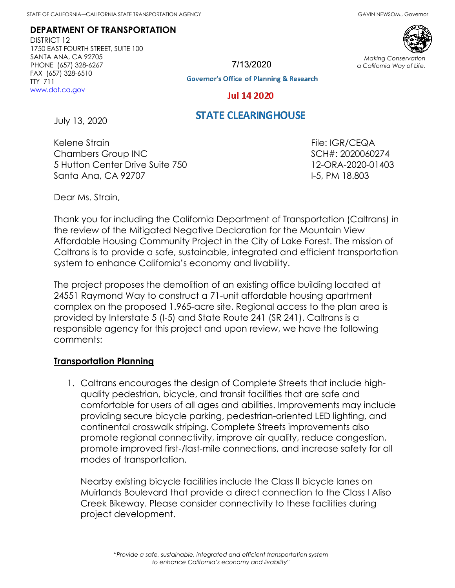#### **DEPARTMENT OF TRANSPORTATION**

DISTRICT 12 1750 EAST FOURTH STREET, SUITE 100 SANTA ANA, CA 92705 PHONE (657) 328-6267 FAX (657) 328-6510 TTY 711 www.dot.ca.gov

7/13/2020



*Making Conservation a California Way of Life.*

**Governor's Office of Planning & Research** 

**Jul 14 2020** 

# **STATE CLEARINGHOUSE**

July 13, 2020

Kelene Strain Chambers Group INC 5 Hutton Center Drive Suite 750 Santa Ana, CA 92707

File: IGR/CEQA SCH#: 2020060274 12-ORA-2020-01403 I-5, PM 18.803

Dear Ms. Strain,

Thank you for including the California Department of Transportation (Caltrans) in the review of the Mitigated Negative Declaration for the Mountain View Affordable Housing Community Project in the City of Lake Forest. The mission of Caltrans is to provide a safe, sustainable, integrated and efficient transportation system to enhance California's economy and livability.

The project proposes the demolition of an existing office building located at 24551 Raymond Way to construct a 71-unit affordable housing apartment complex on the proposed 1.965-acre site. Regional access to the plan area is provided by Interstate 5 (I-5) and State Route 241 (SR 241). Caltrans is a responsible agency for this project and upon review, we have the following comments:

### **Transportation Planning**

1. Caltrans encourages the design of Complete Streets that include highquality pedestrian, bicycle, and transit facilities that are safe and comfortable for users of all ages and abilities. Improvements may include providing secure bicycle parking, pedestrian-oriented LED lighting, and continental crosswalk striping. Complete Streets improvements also promote regional connectivity, improve air quality, reduce congestion, promote improved first-/last-mile connections, and increase safety for all modes of transportation.

Nearby existing bicycle facilities include the Class II bicycle lanes on Muirlands Boulevard that provide a direct connection to the Class I Aliso Creek Bikeway. Please consider connectivity to these facilities during project development.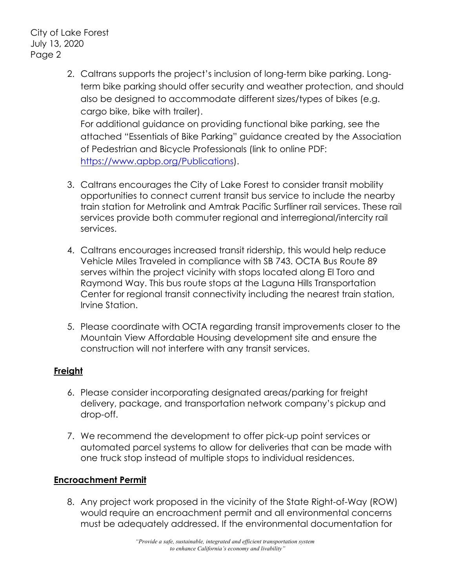City of Lake Forest July 13, 2020 Page 2

> 2. Caltrans supports the project's inclusion of long-term bike parking. Longterm bike parking should offer security and weather protection, and should also be designed to accommodate different sizes/types of bikes (e.g. cargo bike, bike with trailer). For additional guidance on providing functional bike parking, see the

attached "Essentials of Bike Parking" guidance created by the Association of Pedestrian and Bicycle Professionals (link to online PDF: https://www.apbp.org/Publications).

- 3. Caltrans encourages the City of Lake Forest to consider transit mobility opportunities to connect current transit bus service to include the nearby train station for Metrolink and Amtrak Pacific Surfliner rail services. These rail services provide both commuter regional and interregional/intercity rail services.
- 4. Caltrans encourages increased transit ridership, this would help reduce Vehicle Miles Traveled in compliance with SB 743. OCTA Bus Route 89 serves within the project vicinity with stops located along El Toro and Raymond Way. This bus route stops at the Laguna Hills Transportation Center for regional transit connectivity including the nearest train station, Irvine Station.
- 5. Please coordinate with OCTA regarding transit improvements closer to the Mountain View Affordable Housing development site and ensure the construction will not interfere with any transit services.

# **Freight**

- 6. Please consider incorporating designated areas/parking for freight delivery, package, and transportation network company's pickup and drop-off.
- 7. We recommend the development to offer pick-up point services or automated parcel systems to allow for deliveries that can be made with one truck stop instead of multiple stops to individual residences.

## **Encroachment Permit**

8. Any project work proposed in the vicinity of the State Right-of-Way (ROW) would require an encroachment permit and all environmental concerns must be adequately addressed. If the environmental documentation for